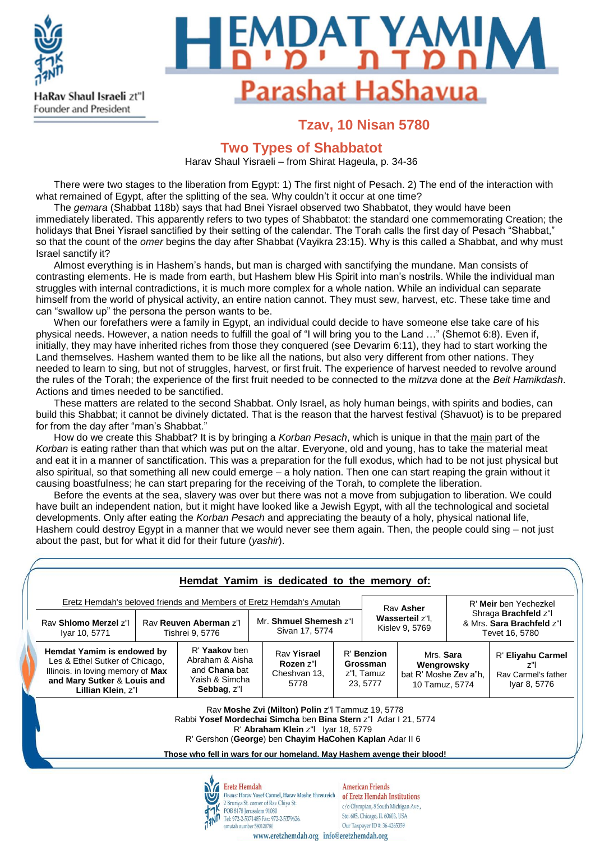

# **IDAT YAMIN** Parashat HaShavua

# **Tzav, 10 Nisan 5780**

## **Two Types of Shabbatot**

Harav Shaul Yisraeli – from Shirat Hageula, p. 34-36

There were two stages to the liberation from Egypt: 1) The first night of Pesach. 2) The end of the interaction with what remained of Egypt, after the splitting of the sea. Why couldn't it occur at one time?

The *gemara* (Shabbat 118b) says that had Bnei Yisrael observed two Shabbatot, they would have been immediately liberated. This apparently refers to two types of Shabbatot: the standard one commemorating Creation; the holidays that Bnei Yisrael sanctified by their setting of the calendar. The Torah calls the first day of Pesach "Shabbat," so that the count of the *omer* begins the day after Shabbat (Vayikra 23:15). Why is this called a Shabbat, and why must Israel sanctify it?

Almost everything is in Hashem's hands, but man is charged with sanctifying the mundane. Man consists of contrasting elements. He is made from earth, but Hashem blew His Spirit into man's nostrils. While the individual man struggles with internal contradictions, it is much more complex for a whole nation. While an individual can separate himself from the world of physical activity, an entire nation cannot. They must sew, harvest, etc. These take time and can "swallow up" the persona the person wants to be.

When our forefathers were a family in Egypt, an individual could decide to have someone else take care of his physical needs. However, a nation needs to fulfill the goal of "I will bring you to the Land …" (Shemot 6:8). Even if, initially, they may have inherited riches from those they conquered (see Devarim 6:11), they had to start working the Land themselves. Hashem wanted them to be like all the nations, but also very different from other nations. They needed to learn to sing, but not of struggles, harvest, or first fruit. The experience of harvest needed to revolve around the rules of the Torah; the experience of the first fruit needed to be connected to the *mitzva* done at the *Beit Hamikdash*. Actions and times needed to be sanctified.

These matters are related to the second Shabbat. Only Israel, as holy human beings, with spirits and bodies, can build this Shabbat; it cannot be divinely dictated. That is the reason that the harvest festival (Shavuot) is to be prepared for from the day after "man's Shabbat."

How do we create this Shabbat? It is by bringing a *Korban Pesach*, which is unique in that the main part of the *Korban* is eating rather than that which was put on the altar. Everyone, old and young, has to take the material meat and eat it in a manner of sanctification. This was a preparation for the full exodus, which had to be not just physical but also spiritual, so that something all new could emerge – a holy nation. Then one can start reaping the grain without it causing boastfulness; he can start preparing for the receiving of the Torah, to complete the liberation.

Before the events at the sea, slavery was over but there was not a move from subjugation to liberation. We could have built an independent nation, but it might have looked like a Jewish Egypt, with all the technological and societal developments. Only after eating the *Korban Pesach* and appreciating the beauty of a holy, physical national life, Hashem could destroy Egypt in a manner that we would never see them again. Then, the people could sing – not just about the past, but for what it did for their future (*yashir*).

| Eretz Hemdah's beloved friends and Members of Eretz Hemdah's Amutah<br>Rav Shlomo Merzel z"<br>Rav Reuven Aberman z"<br>Iyar 10, 5771<br>Tishrei 9, 5776 |  | Mr. Shmuel Shemesh z"I<br>Sivan 17, 5774                                                  |                                                                                                                                                                                                                                                                                                 | Rav Asher<br>Wasserteil z"l,<br>Kislev 9, 5769 |                                                                                                                                                                     | R' Meir ben Yechezkel<br>Shraga Brachfeld z"l<br>& Mrs. Sara Brachfeld z"I<br>Tevet 16, 5780 |  |                                                                   |
|----------------------------------------------------------------------------------------------------------------------------------------------------------|--|-------------------------------------------------------------------------------------------|-------------------------------------------------------------------------------------------------------------------------------------------------------------------------------------------------------------------------------------------------------------------------------------------------|------------------------------------------------|---------------------------------------------------------------------------------------------------------------------------------------------------------------------|----------------------------------------------------------------------------------------------|--|-------------------------------------------------------------------|
| Hemdat Yamim is endowed by<br>Les & Ethel Sutker of Chicago,<br>Illinois. in loving memory of Max<br>and Mary Sutker & Louis and<br>Lillian Klein, z"l   |  | R' Yaakov ben<br>Abraham & Aisha<br>and <b>Chana</b> bat<br>Yaish & Simcha<br>Sebbag, z"l | Rav Yisrael<br>Rozen z"l<br>Cheshvan 13.<br>5778                                                                                                                                                                                                                                                |                                                | R' Benzion<br>Grossman<br>z"I, Tamuz<br>23, 5777                                                                                                                    | Mrs. Sara<br>Wengrowsky<br>bat R' Moshe Zev a"h.<br>10 Tamuz, 5774                           |  | R' Eliyahu Carmel<br>$z$ "<br>Ray Carmel's father<br>Iyar 8, 5776 |
|                                                                                                                                                          |  |                                                                                           | Rav Moshe Zvi (Milton) Polin z"I Tammuz 19, 5778<br>Rabbi Yosef Mordechai Simcha ben Bina Stern z"I Adar I 21, 5774<br>R' Abraham Klein z"  Iyar 18, 5779<br>R' Gershon (George) ben Chayim HaCohen Kaplan Adar II 6<br>Those who fell in wars for our homeland. May Hashem avenge their blood! |                                                |                                                                                                                                                                     |                                                                                              |  |                                                                   |
|                                                                                                                                                          |  | <b>Eretz Hemdah</b><br>POB 8178 Jerusalem 91080                                           | Deans: Harav Yosef Carmel, Harav Moshe Ehrenreich<br>2 Bruriya St. corner of Rav Chiya St.<br>Tel: 972-2-5371485 Fax: 972-2-5379626.                                                                                                                                                            |                                                | <b>American Friends</b><br>of Eretz Hemdah Institutions<br>c/o Olympian, 8 South Michigan Ave.,<br>Ste. 605, Chicago, IL 60603, USA<br>Our Taxpayer ID#: 36-4265359 |                                                                                              |  |                                                                   |

www.eretzhemdah.org info@eretzhemdah.org

amutah number 580120780

Ste. 605, Chicago, IL 60603, USA Our Taxpayer ID #: 36-4265359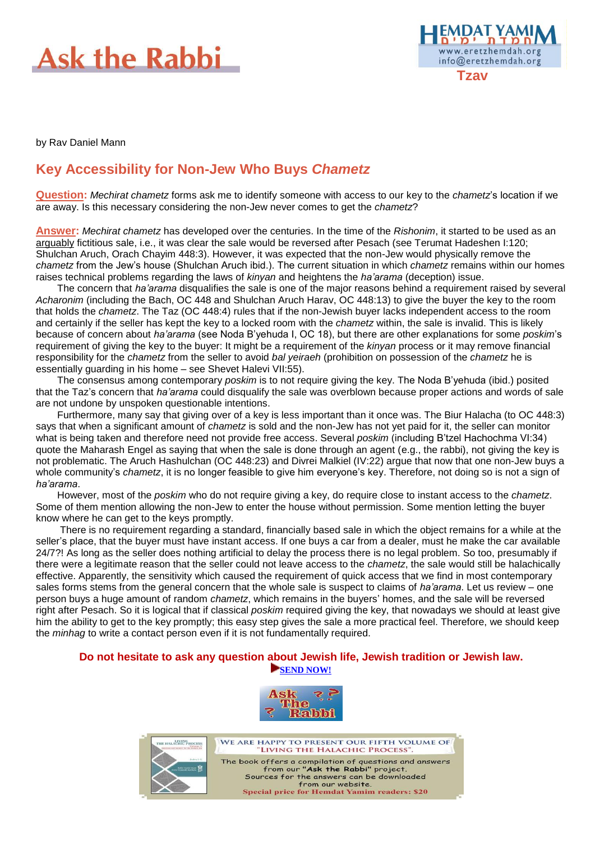



by Rav Daniel Mann

# **Key Accessibility for Non-Jew Who Buys** *Chametz*

**Question:** *Mechirat chametz* forms ask me to identify someone with access to our key to the *chametz*'s location if we are away. Is this necessary considering the non-Jew never comes to get the *chametz*?

**Answer:** *Mechirat chametz* has developed over the centuries. In the time of the *Rishonim*, it started to be used as an arguably fictitious sale, i.e., it was clear the sale would be reversed after Pesach (see Terumat Hadeshen I:120; Shulchan Aruch, Orach Chayim 448:3). However, it was expected that the non-Jew would physically remove the *chametz* from the Jew's house (Shulchan Aruch ibid.). The current situation in which *chametz* remains within our homes raises technical problems regarding the laws of *kinyan* and heightens the *ha'arama* (deception) issue.

The concern that *ha'arama* disqualifies the sale is one of the major reasons behind a requirement raised by several *Acharonim* (including the Bach, OC 448 and Shulchan Aruch Harav, OC 448:13) to give the buyer the key to the room that holds the *chametz*. The Taz (OC 448:4) rules that if the non-Jewish buyer lacks independent access to the room and certainly if the seller has kept the key to a locked room with the *chametz* within, the sale is invalid. This is likely because of concern about *ha'arama* (see Noda B'yehuda I, OC 18), but there are other explanations for some *poskim*'s requirement of giving the key to the buyer: It might be a requirement of the *kinyan* process or it may remove financial responsibility for the *chametz* from the seller to avoid *bal yeiraeh* (prohibition on possession of the *chametz* he is essentially guarding in his home – see Shevet Halevi VII:55).

The consensus among contemporary *poskim* is to not require giving the key. The Noda B'yehuda (ibid.) posited that the Taz's concern that *ha'arama* could disqualify the sale was overblown because proper actions and words of sale are not undone by unspoken questionable intentions.

Furthermore, many say that giving over of a key is less important than it once was. The Biur Halacha (to OC 448:3) says that when a significant amount of *chametz* is sold and the non-Jew has not yet paid for it, the seller can monitor what is being taken and therefore need not provide free access. Several *poskim* (including B'tzel Hachochma VI:34) quote the Maharash Engel as saying that when the sale is done through an agent (e.g., the rabbi), not giving the key is not problematic. The Aruch Hashulchan (OC 448:23) and Divrei Malkiel (IV:22) argue that now that one non-Jew buys a whole community's *chametz*, it is no longer feasible to give him everyone's key. Therefore, not doing so is not a sign of *ha'arama*.

However, most of the *poskim* who do not require giving a key, do require close to instant access to the *chametz*. Some of them mention allowing the non-Jew to enter the house without permission. Some mention letting the buyer know where he can get to the keys promptly.

There is no requirement regarding a standard, financially based sale in which the object remains for a while at the seller's place, that the buyer must have instant access. If one buys a car from a dealer, must he make the car available 24/7?! As long as the seller does nothing artificial to delay the process there is no legal problem. So too, presumably if there were a legitimate reason that the seller could not leave access to the *chametz*, the sale would still be halachically effective. Apparently, the sensitivity which caused the requirement of quick access that we find in most contemporary sales forms stems from the general concern that the whole sale is suspect to claims of *ha'arama*. Let us review – one person buys a huge amount of random *chametz*, which remains in the buyers' homes, and the sale will be reversed right after Pesach. So it is logical that if classical *poskim* required giving the key, that nowadays we should at least give him the ability to get to the key promptly; this easy step gives the sale a more practical feel. Therefore, we should keep the *minhag* to write a contact person even if it is not fundamentally required.

#### **Do not hesitate to ask any question about Jewish life, Jewish tradition or Jewish law. [SEND NOW!](https://eretzhemdah.org/AskTheRabbi.asp?pageid=3&lang=en)**



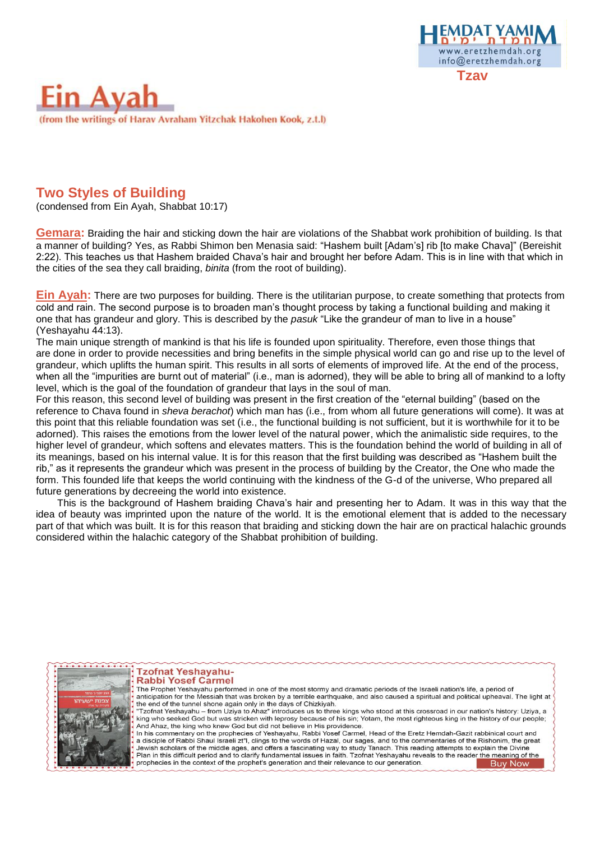



### **Two Styles of Building**

(condensed from Ein Ayah, Shabbat 10:17)

**Gemara:** Braiding the hair and sticking down the hair are violations of the Shabbat work prohibition of building. Is that a manner of building? Yes, as Rabbi Shimon ben Menasia said: "Hashem built [Adam's] rib [to make Chava]" (Bereishit 2:22). This teaches us that Hashem braided Chava's hair and brought her before Adam. This is in line with that which in the cities of the sea they call braiding, *binita* (from the root of building).

**Ein Ayah:** There are two purposes for building. There is the utilitarian purpose, to create something that protects from cold and rain. The second purpose is to broaden man's thought process by taking a functional building and making it one that has grandeur and glory. This is described by the *pasuk* "Like the grandeur of man to live in a house" (Yeshayahu 44:13).

The main unique strength of mankind is that his life is founded upon spirituality. Therefore, even those things that are done in order to provide necessities and bring benefits in the simple physical world can go and rise up to the level of grandeur, which uplifts the human spirit. This results in all sorts of elements of improved life. At the end of the process, when all the "impurities are burnt out of material" (i.e., man is adorned), they will be able to bring all of mankind to a lofty level, which is the goal of the foundation of grandeur that lays in the soul of man.

For this reason, this second level of building was present in the first creation of the "eternal building" (based on the reference to Chava found in *sheva berachot*) which man has (i.e., from whom all future generations will come). It was at this point that this reliable foundation was set (i.e., the functional building is not sufficient, but it is worthwhile for it to be adorned). This raises the emotions from the lower level of the natural power, which the animalistic side requires, to the higher level of grandeur, which softens and elevates matters. This is the foundation behind the world of building in all of its meanings, based on his internal value. It is for this reason that the first building was described as "Hashem built the rib," as it represents the grandeur which was present in the process of building by the Creator, the One who made the form. This founded life that keeps the world continuing with the kindness of the G-d of the universe, Who prepared all future generations by decreeing the world into existence.

This is the background of Hashem braiding Chava's hair and presenting her to Adam. It was in this way that the idea of beauty was imprinted upon the nature of the world. It is the emotional element that is added to the necessary part of that which was built. It is for this reason that braiding and sticking down the hair are on practical halachic grounds considered within the halachic category of the Shabbat prohibition of building.



#### **Tzofnat Yeshayahu-Rabbi Yosef Carmel**

The Prophet Yeshayahu performed in one of the most stormy and dramatic periods of the Israeli nation's life, a period of anticipation for the Messiah that was broken by a terrible earthquake, and also caused a spiritual and political upheaval. The light at the end of the tunnel shone again only in the days of Chizkiyah. "Tzofnat Yeshayahu – from Uziya to Ahaz" introduces us to three kings who stood at this crossroad in our nation's history: Uziya, a<br>king who seeked God but was stricken with leprosy because of his sin; Yotam, the most righ And Ahaz, the king who knew God but did not believe in His providence. In his commentary on the prophecies of Yeshayahu, Rabbi Yosef Carmel, Head of the Eretz Hemdah-Gazit rabbinical court and a disciple of Rabbi Shaul Israeli zt"l, clings to the words of Hazal, our sages, and to the commentaries of the Rishonim, the great Jewish scholars of the middle ages, and offers a fascinating way to study Tanach. This reading attempts to explain the Divine<br>Plan in this difficult period and to clarify fundamental issues in faith. Tzofnat Yeshayahu reve prophecies in the context of the prophet's generation and their relevance to our generation. **Buy Now**